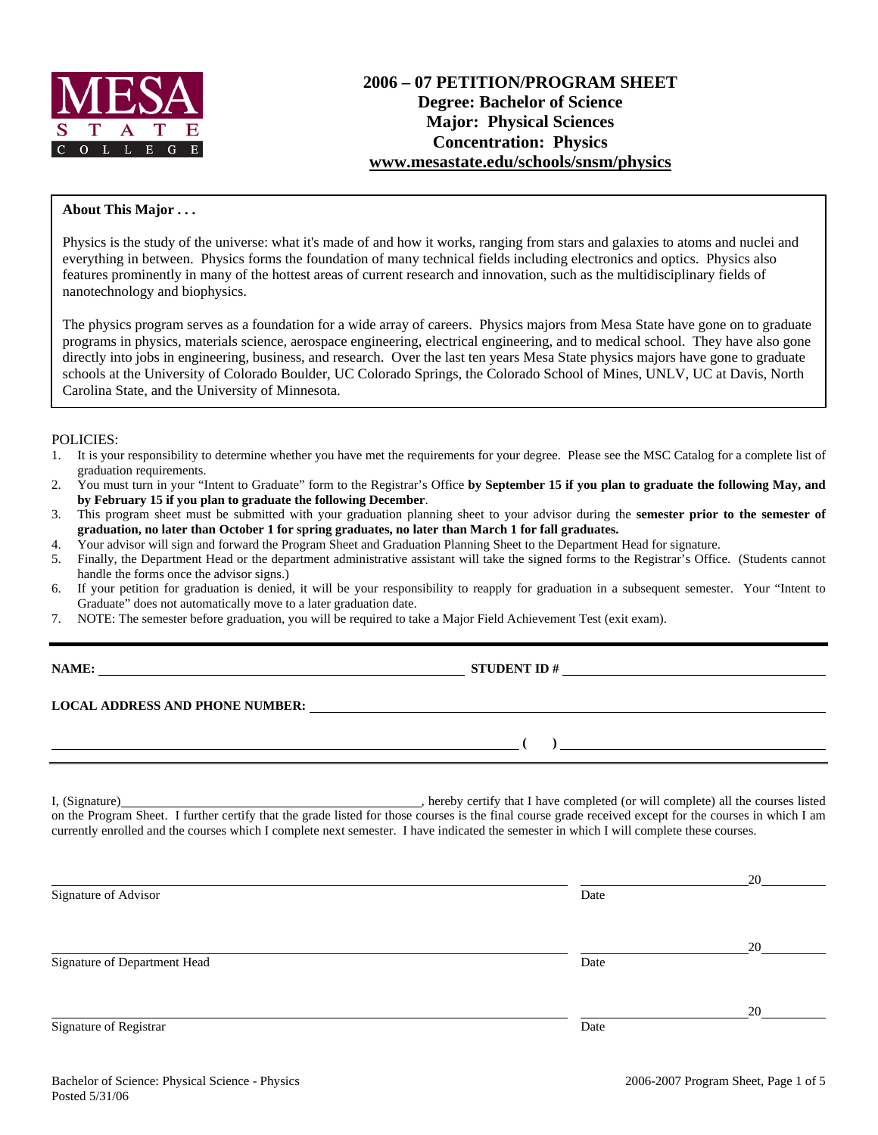

### **About This Major . . .**

Physics is the study of the universe: what it's made of and how it works, ranging from stars and galaxies to atoms and nuclei and everything in between. Physics forms the foundation of many technical fields including electronics and optics. Physics also features prominently in many of the hottest areas of current research and innovation, such as the multidisciplinary fields of nanotechnology and biophysics.

The physics program serves as a foundation for a wide array of careers. Physics majors from Mesa State have gone on to graduate programs in physics, materials science, aerospace engineering, electrical engineering, and to medical school. They have also gone directly into jobs in engineering, business, and research. Over the last ten years Mesa State physics majors have gone to graduate schools at the University of Colorado Boulder, UC Colorado Springs, the Colorado School of Mines, UNLV, UC at Davis, North Carolina State, and the University of Minnesota.

### POLICIES:

- 1. It is your responsibility to determine whether you have met the requirements for your degree. Please see the MSC Catalog for a complete list of graduation requirements.
- 2. You must turn in your "Intent to Graduate" form to the Registrar's Office **by September 15 if you plan to graduate the following May, and by February 15 if you plan to graduate the following December**.
- 3. This program sheet must be submitted with your graduation planning sheet to your advisor during the **semester prior to the semester of graduation, no later than October 1 for spring graduates, no later than March 1 for fall graduates.**
- 4. Your advisor will sign and forward the Program Sheet and Graduation Planning Sheet to the Department Head for signature.
- 5. Finally, the Department Head or the department administrative assistant will take the signed forms to the Registrar's Office. (Students cannot handle the forms once the advisor signs.)
- 6. If your petition for graduation is denied, it will be your responsibility to reapply for graduation in a subsequent semester. Your "Intent to Graduate" does not automatically move to a later graduation date.
- 7. NOTE: The semester before graduation, you will be required to take a Major Field Achievement Test (exit exam).

**NAME: STUDENT ID #**

 **( )** 

#### **LOCAL ADDRESS AND PHONE NUMBER:**

I, (Signature) , hereby certify that I have completed (or will complete) all the courses listed on the Program Sheet. I further certify that the grade listed for those courses is the final course grade received except for the courses in which I am currently enrolled and the courses which I complete next semester. I have indicated the semester in which I will complete these courses.

|                              |      | 20 |
|------------------------------|------|----|
| Signature of Advisor         | Date |    |
|                              |      | 20 |
| Signature of Department Head | Date |    |
|                              |      | 20 |
| Signature of Registrar       | Date |    |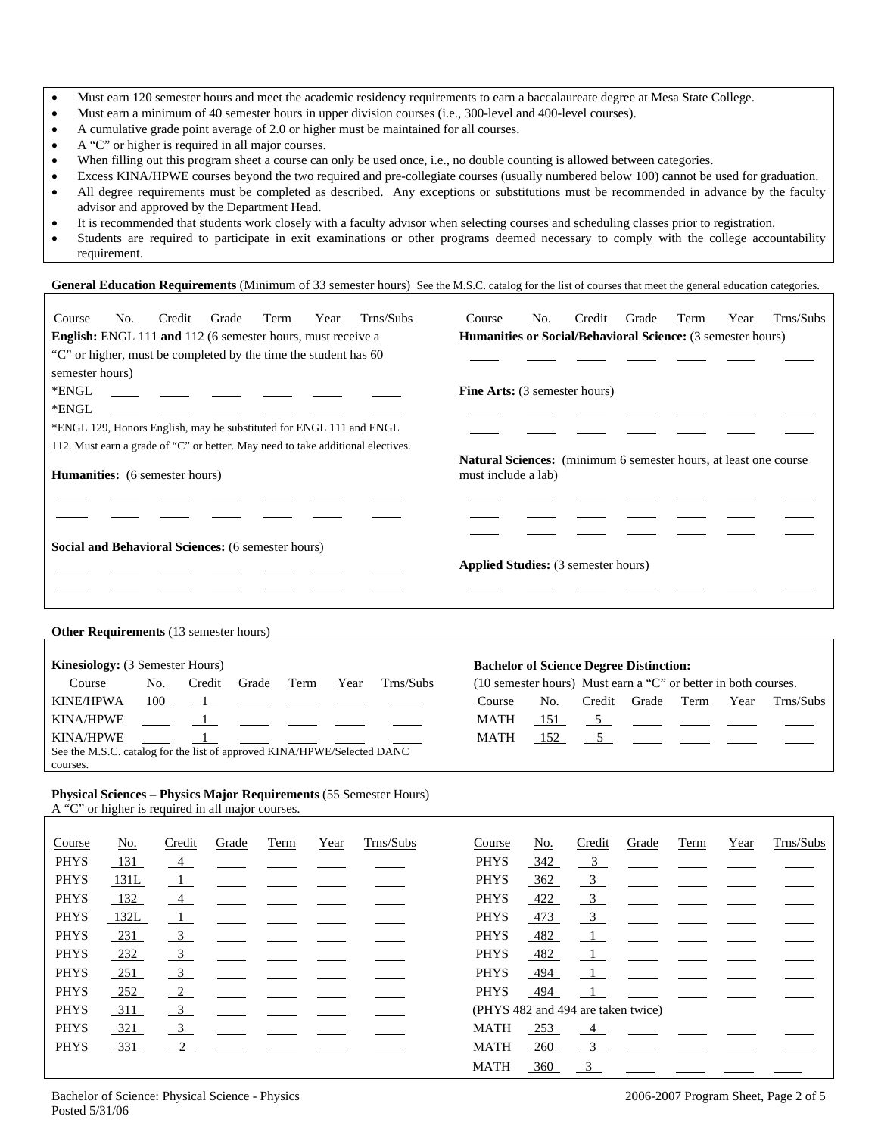- Must earn 120 semester hours and meet the academic residency requirements to earn a baccalaureate degree at Mesa State College.
- Must earn a minimum of 40 semester hours in upper division courses (i.e., 300-level and 400-level courses).
- A cumulative grade point average of 2.0 or higher must be maintained for all courses.
- A "C" or higher is required in all major courses.
- When filling out this program sheet a course can only be used once, i.e., no double counting is allowed between categories.
- Excess KINA/HPWE courses beyond the two required and pre-collegiate courses (usually numbered below 100) cannot be used for graduation.
- All degree requirements must be completed as described. Any exceptions or substitutions must be recommended in advance by the faculty advisor and approved by the Department Head.
- It is recommended that students work closely with a faculty advisor when selecting courses and scheduling classes prior to registration.
- Students are required to participate in exit examinations or other programs deemed necessary to comply with the college accountability requirement.

General Education Requirements (Minimum of 33 semester hours) See the M.S.C. catalog for the list of courses that meet the general education categories.

| Course                                                             | No. | Credit | Grade | Term                                                                | Year | Trns/Subs                                                                                       | Course                               | No. | Credit | Grade | Term | Year | Trns/Subs |
|--------------------------------------------------------------------|-----|--------|-------|---------------------------------------------------------------------|------|-------------------------------------------------------------------------------------------------|--------------------------------------|-----|--------|-------|------|------|-----------|
| <b>English:</b> ENGL 111 and 112 (6 semester hours, must receive a |     |        |       |                                                                     |      | Humanities or Social/Behavioral Science: (3 semester hours)                                     |                                      |     |        |       |      |      |           |
| "C" or higher, must be completed by the time the student has 60    |     |        |       |                                                                     |      |                                                                                                 |                                      |     |        |       |      |      |           |
| semester hours)                                                    |     |        |       |                                                                     |      |                                                                                                 |                                      |     |        |       |      |      |           |
| *ENGL                                                              |     |        |       |                                                                     |      |                                                                                                 | <b>Fine Arts:</b> (3 semester hours) |     |        |       |      |      |           |
| *ENGL                                                              |     |        |       |                                                                     |      |                                                                                                 |                                      |     |        |       |      |      |           |
|                                                                    |     |        |       | *ENGL 129, Honors English, may be substituted for ENGL 111 and ENGL |      |                                                                                                 |                                      |     |        |       |      |      |           |
|                                                                    |     |        |       |                                                                     |      | 112. Must earn a grade of "C" or better. May need to take additional electives.                 |                                      |     |        |       |      |      |           |
| <b>Humanities:</b> (6 semester hours)                              |     |        |       |                                                                     |      | <b>Natural Sciences:</b> (minimum 6 semester hours, at least one course)<br>must include a lab) |                                      |     |        |       |      |      |           |
|                                                                    |     |        |       |                                                                     |      |                                                                                                 |                                      |     |        |       |      |      |           |
|                                                                    |     |        |       |                                                                     |      |                                                                                                 |                                      |     |        |       |      |      |           |
|                                                                    |     |        |       |                                                                     |      |                                                                                                 |                                      |     |        |       |      |      |           |
| <b>Social and Behavioral Sciences:</b> (6 semester hours)          |     |        |       |                                                                     |      | <b>Applied Studies:</b> (3 semester hours)                                                      |                                      |     |        |       |      |      |           |
|                                                                    |     |        |       |                                                                     |      |                                                                                                 |                                      |     |        |       |      |      |           |
|                                                                    |     |        |       |                                                                     |      |                                                                                                 |                                      |     |        |       |      |      |           |

### **Other Requirements** (13 semester hours)

| <b>Kinesiology:</b> (3 Semester Hours)                                  |     |        |       |      |      |           | <b>Bachelor of Science Degree Distinction:</b>                 |       |        |       |      |      |                    |
|-------------------------------------------------------------------------|-----|--------|-------|------|------|-----------|----------------------------------------------------------------|-------|--------|-------|------|------|--------------------|
| Course                                                                  | No. | Credit | Grade | Term | Year | Trns/Subs | (10 semester hours) Must earn a "C" or better in both courses. |       |        |       |      |      |                    |
| KINE/HPWA                                                               | 100 |        |       |      |      |           | Course                                                         | No.   | Credit | Grade | Term | Year | Trns/Subs          |
| KINA/HPWE                                                               |     |        |       |      |      |           | <b>MATH</b>                                                    | - 151 |        |       |      |      | <u>. 5 — — — —</u> |
| KINA/HPWE                                                               |     |        |       |      |      |           | <b>MATH</b>                                                    | - 152 |        |       |      |      | $5\overline{)}$    |
| See the M.S.C. catalog for the list of approved KINA/HPWE/Selected DANC |     |        |       |      |      |           |                                                                |       |        |       |      |      |                    |
| courses.                                                                |     |        |       |      |      |           |                                                                |       |        |       |      |      |                    |

### **Physical Sciences – Physics Major Requirements** (55 Semester Hours) A "C" or higher is required in all major courses.

| Course      | No.    | Credit                  | Grade | Term | Year | Trns/Subs | Course      | No.                                | Credit                  | Grade | Term | Year | Trns/Subs |
|-------------|--------|-------------------------|-------|------|------|-----------|-------------|------------------------------------|-------------------------|-------|------|------|-----------|
| <b>PHYS</b> | 131    | 4                       |       |      |      |           | <b>PHYS</b> | 342                                | 3                       |       |      |      |           |
| <b>PHYS</b> | 131L   | $\Box$                  |       |      |      |           | <b>PHYS</b> | 362                                | $\overline{3}$          |       |      |      |           |
| <b>PHYS</b> | 132    | -4                      |       |      |      |           | <b>PHYS</b> | 422                                | $\overline{\mathbf{3}}$ |       |      |      |           |
| <b>PHYS</b> | 132L   |                         |       |      |      |           | <b>PHYS</b> | 473                                | $\frac{3}{2}$           |       |      |      |           |
| <b>PHYS</b> | 231    | 3                       |       |      |      |           | <b>PHYS</b> | 482                                | -1                      |       |      |      |           |
| <b>PHYS</b> | $-232$ | $\overline{\mathbf{3}}$ |       |      |      |           | <b>PHYS</b> | 482                                |                         |       |      |      |           |
| <b>PHYS</b> | 251    | $\overline{3}$          |       |      |      |           | <b>PHYS</b> | 494                                |                         |       |      |      |           |
| <b>PHYS</b> | 252    | 2                       |       |      |      |           | <b>PHYS</b> | 494                                |                         |       |      |      |           |
| <b>PHYS</b> | 311    | -3                      |       |      |      |           |             | (PHYS 482 and 494 are taken twice) |                         |       |      |      |           |
| <b>PHYS</b> | 321    | 3                       |       |      |      |           | <b>MATH</b> | 253                                | $\sim$ 4                |       |      |      |           |
| <b>PHYS</b> | 331    | 2                       |       |      |      |           | <b>MATH</b> | <b>260</b>                         | $\overline{3}$          |       |      |      |           |
|             |        |                         |       |      |      |           | <b>MATH</b> | 360                                | 3                       |       |      |      |           |
|             |        |                         |       |      |      |           |             |                                    |                         |       |      |      |           |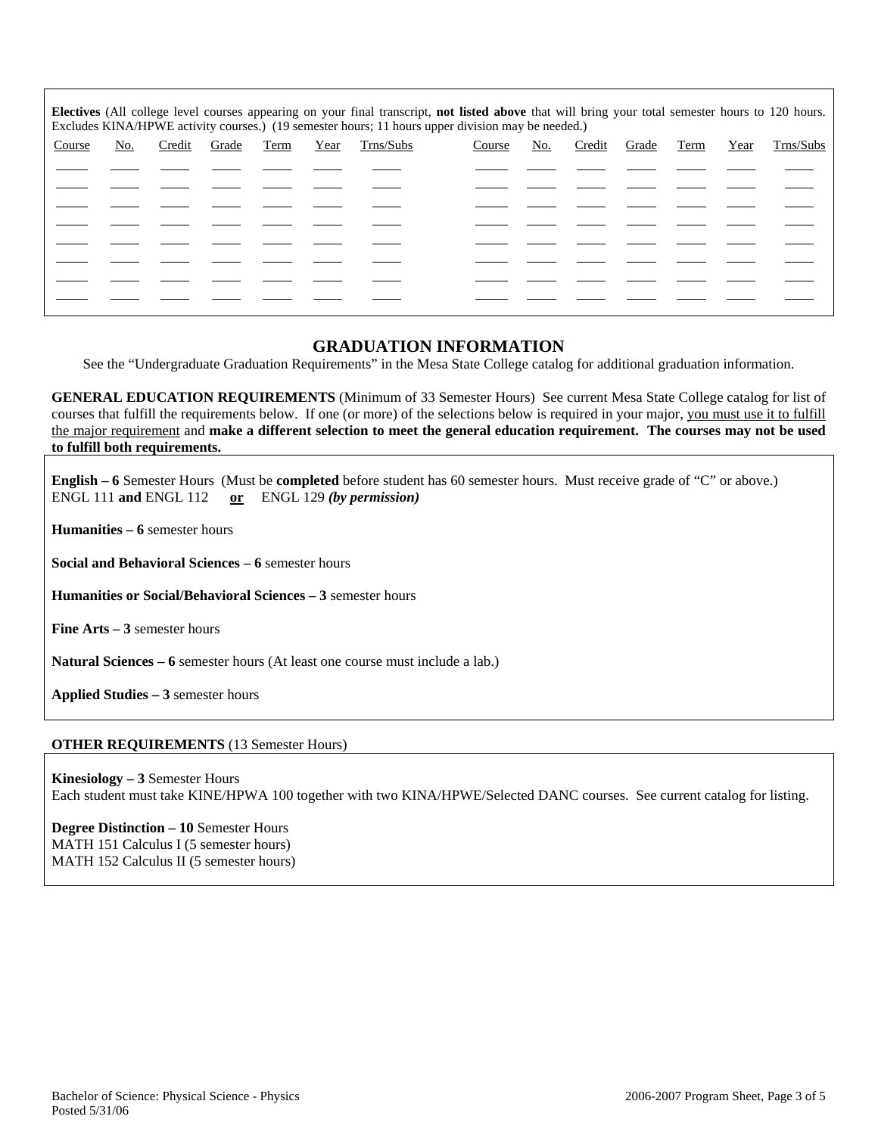**Electives** (All college level courses appearing on your final transcript, **not listed above** that will bring your total semester hours to 120 hours. Excludes KINA/HPWE activity courses.) (19 semester hours; 11 hours upper division may be needed.) Course No. Credit Grade Term Year Trns/Subs Course No. Credit Grade Term Year Trns/Subs  $\overline{a}$  $\overline{a}$  $\overline{a}$  $\overline{a}$  $\overline{a}$  $\overline{a}$  $\overline{a}$  $\overline{a}$ 

## **GRADUATION INFORMATION**

See the "Undergraduate Graduation Requirements" in the Mesa State College catalog for additional graduation information.

**GENERAL EDUCATION REQUIREMENTS** (Minimum of 33 Semester Hours) See current Mesa State College catalog for list of courses that fulfill the requirements below. If one (or more) of the selections below is required in your major, you must use it to fulfill the major requirement and **make a different selection to meet the general education requirement. The courses may not be used to fulfill both requirements.**

**English – 6** Semester Hours (Must be **completed** before student has 60 semester hours. Must receive grade of "C" or above.) ENGL 111 **and** ENGL 112 **or** ENGL 129 *(by permission)*

**Humanities – 6** semester hours

**Social and Behavioral Sciences – 6** semester hours

**Humanities or Social/Behavioral Sciences – 3** semester hours

**Fine Arts – 3** semester hours

**Natural Sciences – 6** semester hours (At least one course must include a lab.)

**Applied Studies – 3** semester hours

## **OTHER REQUIREMENTS** (13 Semester Hours)

**Kinesiology – 3** Semester Hours Each student must take KINE/HPWA 100 together with two KINA/HPWE/Selected DANC courses. See current catalog for listing.

**Degree Distinction – 10** Semester Hours MATH 151 Calculus I (5 semester hours) MATH 152 Calculus II (5 semester hours)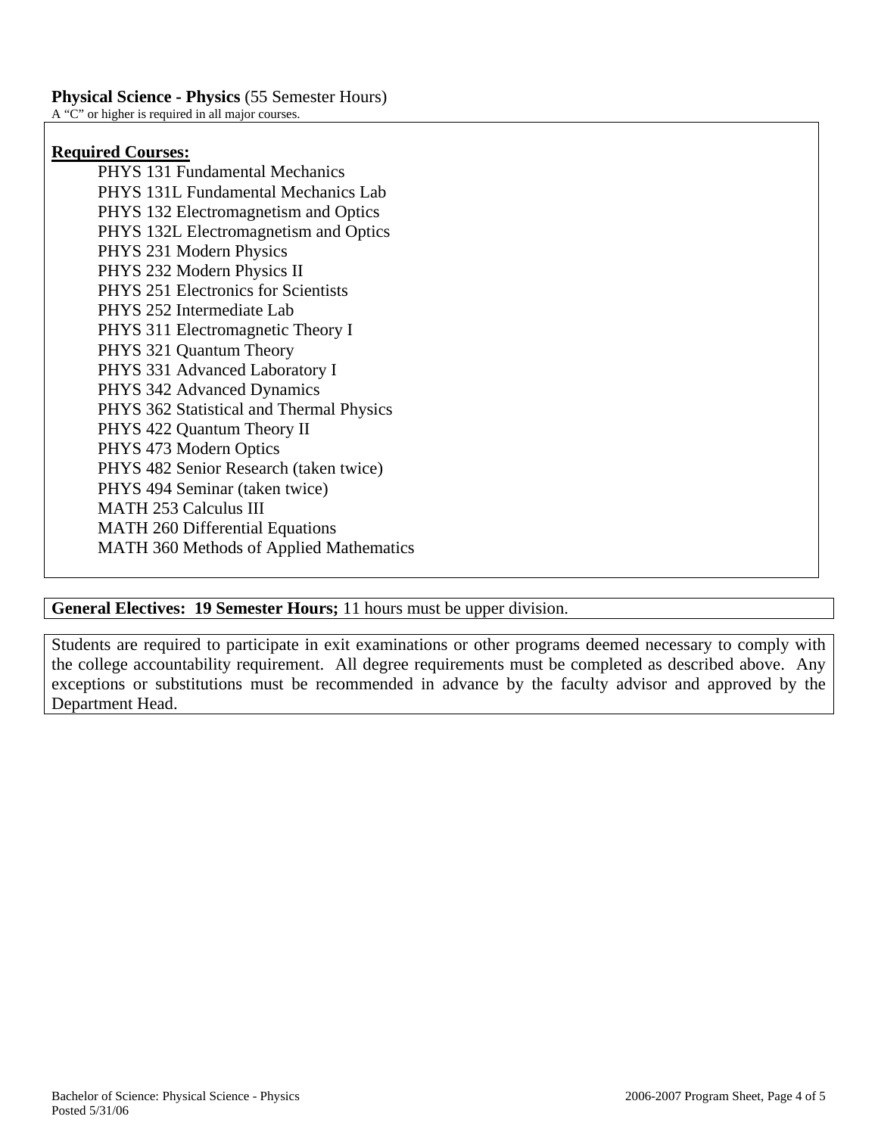# **Required Courses:**

 PHYS 131 Fundamental Mechanics PHYS 131L Fundamental Mechanics Lab PHYS 132 Electromagnetism and Optics PHYS 132L Electromagnetism and Optics PHYS 231 Modern Physics PHYS 232 Modern Physics II PHYS 251 Electronics for Scientists PHYS 252 Intermediate Lab PHYS 311 Electromagnetic Theory I PHYS 321 Quantum Theory PHYS 331 Advanced Laboratory I PHYS 342 Advanced Dynamics PHYS 362 Statistical and Thermal Physics PHYS 422 Quantum Theory II PHYS 473 Modern Optics PHYS 482 Senior Research (taken twice) PHYS 494 Seminar (taken twice) MATH 253 Calculus III MATH 260 Differential Equations MATH 360 Methods of Applied Mathematics

**General Electives: 19 Semester Hours;** 11 hours must be upper division.

Students are required to participate in exit examinations or other programs deemed necessary to comply with the college accountability requirement. All degree requirements must be completed as described above. Any exceptions or substitutions must be recommended in advance by the faculty advisor and approved by the Department Head.